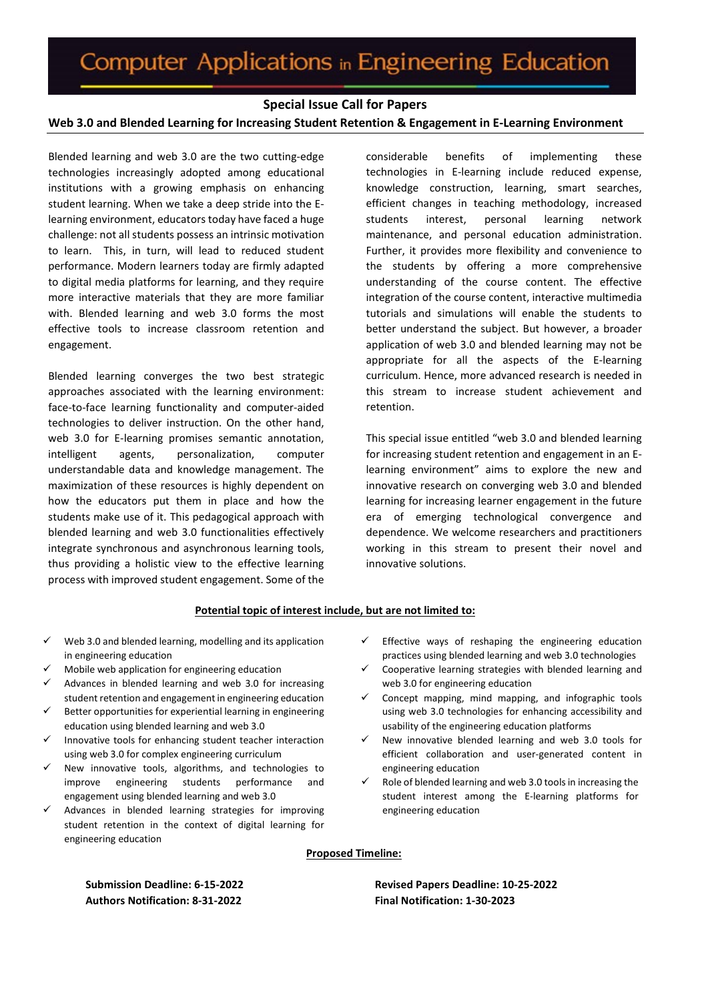# **Special Issue Call for Papers**

#### **Web 3.0 and Blended Learning for Increasing Student Retention & Engagement in E-Learning Environment**

Blended learning and web 3.0 are the two cutting-edge technologies increasingly adopted among educational institutions with a growing emphasis on enhancing student learning. When we take a deep stride into the Elearning environment, educators today have faced a huge challenge: not all students possess an intrinsic motivation to learn. This, in turn, will lead to reduced student performance. Modern learners today are firmly adapted to digital media platforms for learning, and they require more interactive materials that they are more familiar with. Blended learning and web 3.0 forms the most effective tools to increase classroom retention and engagement.

Blended learning converges the two best strategic approaches associated with the learning environment: face-to-face learning functionality and computer-aided technologies to deliver instruction. On the other hand, web 3.0 for E-learning promises semantic annotation, intelligent agents, personalization, computer understandable data and knowledge management. The maximization of these resources is highly dependent on how the educators put them in place and how the students make use of it. This pedagogical approach with blended learning and web 3.0 functionalities effectively integrate synchronous and asynchronous learning tools, thus providing a holistic view to the effective learning process with improved student engagement. Some of the

considerable benefits of implementing these technologies in E-learning include reduced expense, knowledge construction, learning, smart searches, efficient changes in teaching methodology, increased students interest, personal learning network maintenance, and personal education administration. Further, it provides more flexibility and convenience to the students by offering a more comprehensive understanding of the course content. The effective integration of the course content, interactive multimedia tutorials and simulations will enable the students to better understand the subject. But however, a broader application of web 3.0 and blended learning may not be appropriate for all the aspects of the E-learning curriculum. Hence, more advanced research is needed in this stream to increase student achievement and retention.

This special issue entitled "web 3.0 and blended learning for increasing student retention and engagement in an Elearning environment" aims to explore the new and innovative research on converging web 3.0 and blended learning for increasing learner engagement in the future era of emerging technological convergence and dependence. We welcome researchers and practitioners working in this stream to present their novel and innovative solutions.

## **Potential topic of interest include, but are not limited to:**

- Web 3.0 and blended learning, modelling and its application in engineering education
- Mobile web application for engineering education
- Advances in blended learning and web 3.0 for increasing student retention and engagement in engineering education
- Better opportunities for experiential learning in engineering education using blended learning and web 3.0
- Innovative tools for enhancing student teacher interaction using web 3.0 for complex engineering curriculum
- New innovative tools, algorithms, and technologies to improve engineering students performance and engagement using blended learning and web 3.0
- Advances in blended learning strategies for improving student retention in the context of digital learning for engineering education
- Effective ways of reshaping the engineering education practices using blended learning and web 3.0 technologies
- Cooperative learning strategies with blended learning and web 3.0 for engineering education
- $\checkmark$  Concept mapping, mind mapping, and infographic tools using web 3.0 technologies for enhancing accessibility and usability of the engineering education platforms
- $\checkmark$  New innovative blended learning and web 3.0 tools for efficient collaboration and user-generated content in engineering education
- Role of blended learning and web 3.0 tools in increasing the student interest among the E-learning platforms for engineering education

#### **Proposed Timeline:**

**Submission Deadline: 6-15-2022 Authors Notification: 8-31-2022**

**Revised Papers Deadline: 10-25-2022 Final Notification: 1-30-2023**